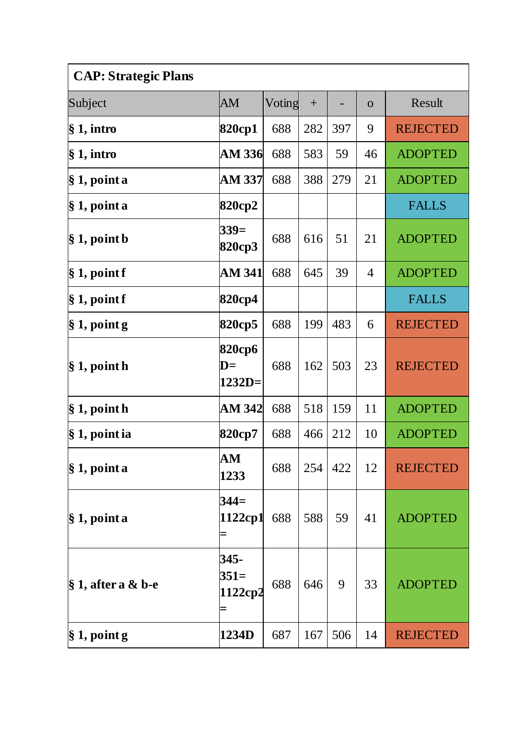| <b>CAP: Strategic Plans</b> |                                      |        |     |     |              |                 |  |  |
|-----------------------------|--------------------------------------|--------|-----|-----|--------------|-----------------|--|--|
| Subject                     | AM                                   | Voting | $+$ |     | $\mathbf{O}$ | Result          |  |  |
| $§ 1,$ intro                | 820cp1                               | 688    | 282 | 397 | 9            | <b>REJECTED</b> |  |  |
| $§ 1,$ intro                | AM 336                               | 688    | 583 | 59  | 46           | <b>ADOPTED</b>  |  |  |
| § 1, point a                | AM 337                               | 688    | 388 | 279 | 21           | <b>ADOPTED</b>  |  |  |
| § 1, point a                | 820cp2                               |        |     |     |              | <b>FALLS</b>    |  |  |
| $\S 1$ , point b            | $339=$<br>820cp3                     | 688    | 616 | 51  | 21           | <b>ADOPTED</b>  |  |  |
| § 1, point f                | <b>AM 341</b>                        | 688    | 645 | 39  | 4            | <b>ADOPTED</b>  |  |  |
| § 1, point f                | 820cp4                               |        |     |     |              | <b>FALLS</b>    |  |  |
| $\S 1$ , point g            | 820cp5                               | 688    | 199 | 483 | 6            | <b>REJECTED</b> |  |  |
| $\S 1$ , point h            | 820срб<br>$\mathbf{D}$ =<br>$1232D=$ | 688    | 162 | 503 | 23           | <b>REJECTED</b> |  |  |
| $§ 1$ , point h             | AM 342                               | 688    | 518 | 159 | 11           | <b>ADOPTED</b>  |  |  |
| § 1, point ia               | 820cp7                               | 688    | 466 | 212 | 10           | <b>ADOPTED</b>  |  |  |
| $\S 1$ , point a            | AM<br>1233                           | 688    | 254 | 422 | 12           | <b>REJECTED</b> |  |  |
| § 1, point a                | $344=$<br>1122cp1                    | 688    | 588 | 59  | 41           | <b>ADOPTED</b>  |  |  |
| $\S 1$ , after a & b-e      | 345-<br>$351=$<br>1122cp2<br>Ξ       | 688    | 646 | 9   | 33           | <b>ADOPTED</b>  |  |  |
| $\S 1$ , point g            | 1234D                                | 687    | 167 | 506 | 14           | <b>REJECTED</b> |  |  |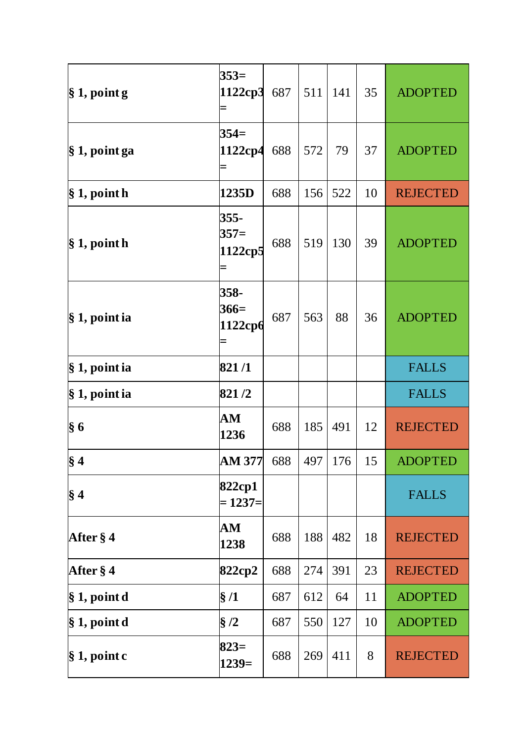| $\S 1$ , point g  | $353=$<br>1122ср3         | 687 | 511 | 141 | 35 | <b>ADOPTED</b>  |
|-------------------|---------------------------|-----|-----|-----|----|-----------------|
| § 1, point ga     | $354=$<br>1122cp4         | 688 | 572 | 79  | 37 | <b>ADOPTED</b>  |
| $\S 1$ , point h  | 1235D                     | 688 | 156 | 522 | 10 | <b>REJECTED</b> |
| $\S 1$ , point h  | 355-<br>$357=$<br>1122cp5 | 688 | 519 | 130 | 39 | <b>ADOPTED</b>  |
| $\S 1$ , point ia | 358-<br>$366=$<br>1122срб | 687 | 563 | 88  | 36 | <b>ADOPTED</b>  |
| $\S 1$ , point ia | 821/1                     |     |     |     |    | <b>FALLS</b>    |
| $\S 1$ , point ia | 821/2                     |     |     |     |    | <b>FALLS</b>    |
| § 6               | ${\bf AM}$<br>1236        | 688 | 185 | 491 | 12 | <b>REJECTED</b> |
| $\S 4$            | <b>AM 377</b>             | 688 | 497 | 176 | 15 | <b>ADOPTED</b>  |
| $\S 4$            | 822cp1<br>$= 1237=$       |     |     |     |    | <b>FALLS</b>    |
| After § 4         | AM<br>1238                | 688 | 188 | 482 | 18 | <b>REJECTED</b> |
| After § 4         | 822cp2                    | 688 | 274 | 391 | 23 | <b>REJECTED</b> |
| § 1, point d      | $\S/1$                    | 687 | 612 | 64  | 11 | <b>ADOPTED</b>  |
| $\S 1$ , point d  | $\S/2$                    | 687 | 550 | 127 | 10 | <b>ADOPTED</b>  |
| $\S 1$ , point c  | $823=$<br>$1239=$         | 688 | 269 | 411 | 8  | <b>REJECTED</b> |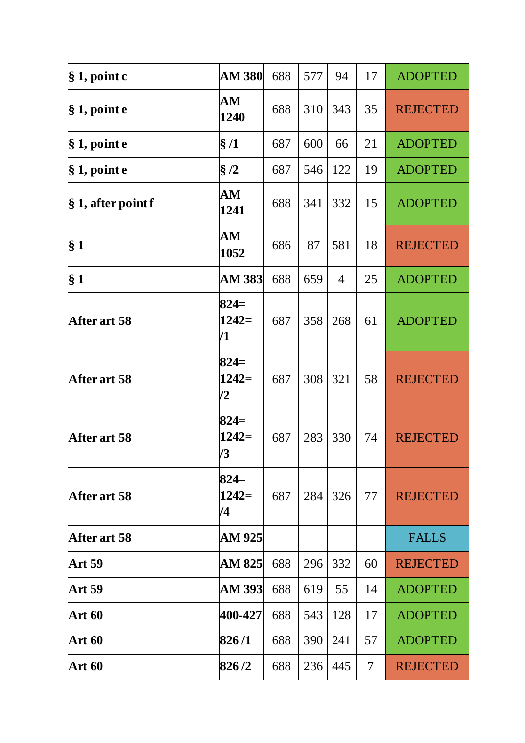| $\S 1$ , point c       | <b>AM 380</b>           | 688 | 577 | 94  | 17 | <b>ADOPTED</b>  |
|------------------------|-------------------------|-----|-----|-----|----|-----------------|
| § 1, point e           | ${\bf AM}$<br>1240      | 688 | 310 | 343 | 35 | <b>REJECTED</b> |
| $\S 1$ , point e       | §/1                     | 687 | 600 | 66  | 21 | <b>ADOPTED</b>  |
| $§ 1$ , point $e$      | §/2                     | 687 | 546 | 122 | 19 | <b>ADOPTED</b>  |
| $\S 1$ , after point f | AM<br>1241              | 688 | 341 | 332 | 15 | <b>ADOPTED</b>  |
| $\S 1$                 | AM<br>1052              | 686 | 87  | 581 | 18 | <b>REJECTED</b> |
| § 1                    | <b>AM 383</b>           | 688 | 659 | 4   | 25 | <b>ADOPTED</b>  |
| After art 58           | $824=$<br>$1242=$<br>/1 | 687 | 358 | 268 | 61 | <b>ADOPTED</b>  |
| After art 58           | $824=$<br>$1242=$<br>/2 | 687 | 308 | 321 | 58 | <b>REJECTED</b> |
| After art 58           | $824=$<br>$1242=$<br>/3 | 687 | 283 | 330 | 74 | <b>REJECTED</b> |
| After art 58           | $824=$<br>$1242=$<br>/4 | 687 | 284 | 326 | 77 | <b>REJECTED</b> |
| <b>After art 58</b>    | AM 925                  |     |     |     |    | <b>FALLS</b>    |
| <b>Art 59</b>          | AM 825                  | 688 | 296 | 332 | 60 | <b>REJECTED</b> |
| <b>Art 59</b>          | AM 393                  | 688 | 619 | 55  | 14 | <b>ADOPTED</b>  |
| <b>Art 60</b>          | 400-427                 | 688 | 543 | 128 | 17 | <b>ADOPTED</b>  |
| Art 60                 | 826/1                   | 688 | 390 | 241 | 57 | <b>ADOPTED</b>  |
| <b>Art 60</b>          | 826/2                   | 688 | 236 | 445 | 7  | <b>REJECTED</b> |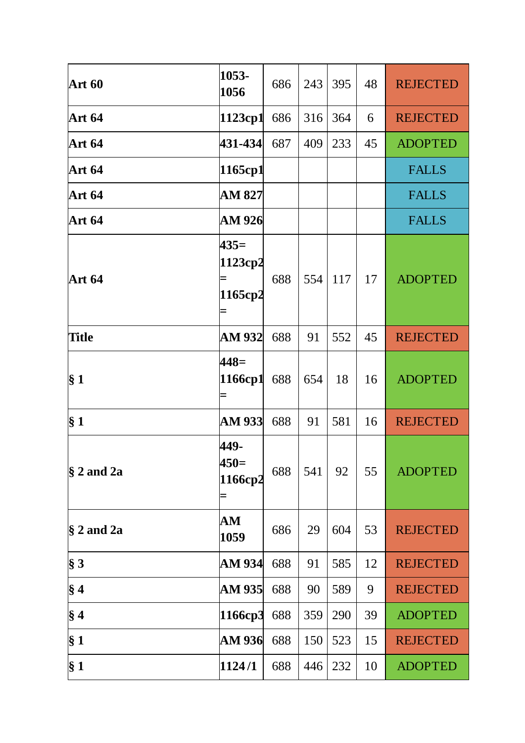| <b>Art 60</b>  | 1053-<br>1056                  | 686 | 243 | 395 | 48 | <b>REJECTED</b> |
|----------------|--------------------------------|-----|-----|-----|----|-----------------|
| <b>Art 64</b>  | 1123cp1                        | 686 | 316 | 364 | 6  | <b>REJECTED</b> |
| <b>Art 64</b>  | 431-434                        | 687 | 409 | 233 | 45 | <b>ADOPTED</b>  |
| <b>Art 64</b>  | 1165cp1                        |     |     |     |    | <b>FALLS</b>    |
| <b>Art 64</b>  | AM 827                         |     |     |     |    | <b>FALLS</b>    |
| <b>Art 64</b>  | AM 926                         |     |     |     |    | <b>FALLS</b>    |
| <b>Art 64</b>  | $435=$<br>1123cp2<br>1165cp2   | 688 | 554 | 117 | 17 | <b>ADOPTED</b>  |
| <b>Title</b>   | <b>AM 932</b>                  | 688 | 91  | 552 | 45 | <b>REJECTED</b> |
| $\S 1$         | $448=$<br>1166cp1              | 688 | 654 | 18  | 16 | <b>ADOPTED</b>  |
| $\S 1$         | <b>AM 933</b>                  | 688 | 91  | 581 | 16 | <b>REJECTED</b> |
| $§$ 2 and 2a   | 449-<br>450=<br>1166cp2        | 688 | 541 | 92  | 55 | <b>ADOPTED</b>  |
| $§$ 2 and 2a   | $\mathbf{A}\mathbf{M}$<br>1059 | 686 | 29  | 604 | 53 | <b>REJECTED</b> |
| § 3            | AM 934                         | 688 | 91  | 585 | 12 | <b>REJECTED</b> |
| $\S 4$         | AM 935                         | 688 | 90  | 589 | 9  | <b>REJECTED</b> |
| $\S 4$         | 1166ср3                        | 688 | 359 | 290 | 39 | <b>ADOPTED</b>  |
| § 1            | <b>AM 936</b>                  | 688 | 150 | 523 | 15 | <b>REJECTED</b> |
| § <sub>1</sub> | 1124/1                         | 688 | 446 | 232 | 10 | <b>ADOPTED</b>  |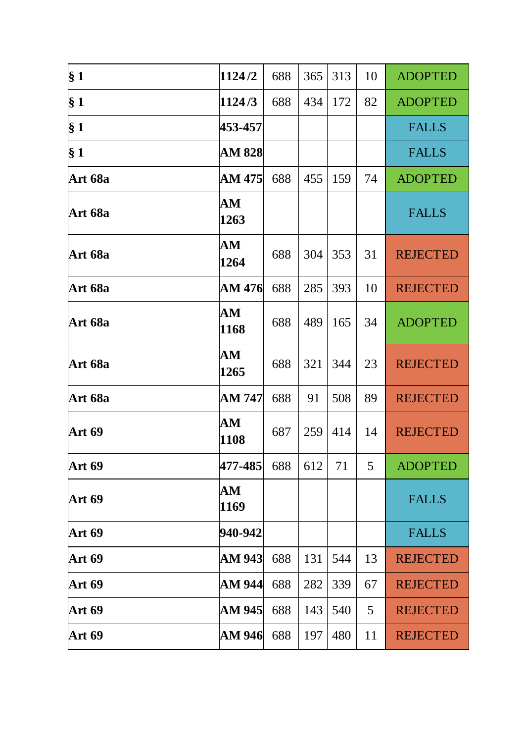| § <sub>1</sub> | 1124/2                         | 688 | 365 | 313 | 10 | <b>ADOPTED</b>  |
|----------------|--------------------------------|-----|-----|-----|----|-----------------|
| § <sub>1</sub> | 1124/3                         | 688 | 434 | 172 | 82 | <b>ADOPTED</b>  |
| $\S 1$         | 453-457                        |     |     |     |    | <b>FALLS</b>    |
| § <sub>1</sub> | <b>AM 828</b>                  |     |     |     |    | <b>FALLS</b>    |
| Art 68a        | AM 475                         | 688 | 455 | 159 | 74 | <b>ADOPTED</b>  |
| Art 68a        | AМ<br>1263                     |     |     |     |    | <b>FALLS</b>    |
| Art 68a        | ${\bf AM}$<br>1264             | 688 | 304 | 353 | 31 | <b>REJECTED</b> |
| Art 68a        | AM 476                         | 688 | 285 | 393 | 10 | <b>REJECTED</b> |
| Art 68a        | AM<br>1168                     | 688 | 489 | 165 | 34 | <b>ADOPTED</b>  |
| Art 68a        | ${\bf AM}$<br>1265             | 688 | 321 | 344 | 23 | <b>REJECTED</b> |
| Art 68a        | AM 747                         | 688 | 91  | 508 | 89 | <b>REJECTED</b> |
| <b>Art 69</b>  | AM<br>1108                     | 687 | 259 | 414 | 14 | <b>REJECTED</b> |
| <b>Art 69</b>  | 477-485                        | 688 | 612 | 71  | 5  | <b>ADOPTED</b>  |
| <b>Art 69</b>  | $\mathbf{A}\mathbf{M}$<br>1169 |     |     |     |    | <b>FALLS</b>    |
| <b>Art 69</b>  | 940-942                        |     |     |     |    | <b>FALLS</b>    |
| <b>Art 69</b>  | AM 943                         | 688 | 131 | 544 | 13 | <b>REJECTED</b> |
| <b>Art 69</b>  | AM 944                         | 688 | 282 | 339 | 67 | <b>REJECTED</b> |
| <b>Art 69</b>  | AM 945                         | 688 | 143 | 540 | 5  | <b>REJECTED</b> |
| <b>Art 69</b>  | AM 946                         | 688 | 197 | 480 | 11 | <b>REJECTED</b> |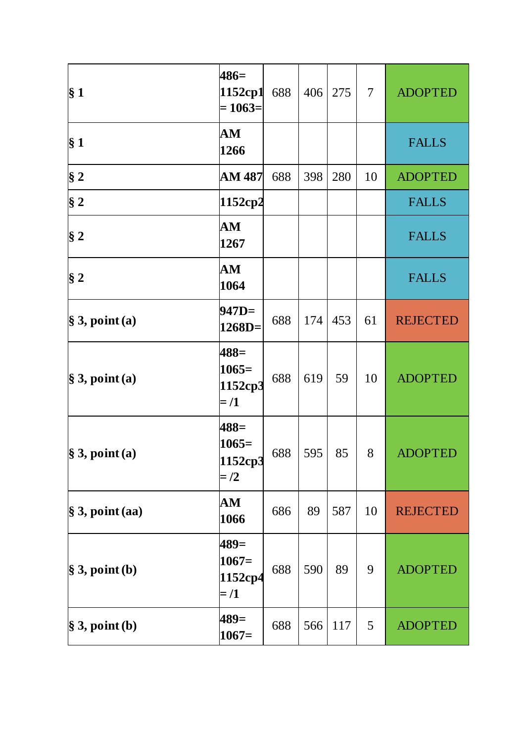| § 1                         | $486=$<br>1152cp1<br>$= 1063 =$        | 688 | 406 | 275 | $\overline{7}$ | <b>ADOPTED</b>  |
|-----------------------------|----------------------------------------|-----|-----|-----|----------------|-----------------|
| § <sub>1</sub>              | AM<br>1266                             |     |     |     |                | <b>FALLS</b>    |
| $§$ 2                       | AM 487                                 | 688 | 398 | 280 | 10             | <b>ADOPTED</b>  |
| $\S 2$                      | 1152cp2                                |     |     |     |                | <b>FALLS</b>    |
| $\S 2$                      | AM<br>1267                             |     |     |     |                | <b>FALLS</b>    |
| $§$ 2                       | AM<br>1064                             |     |     |     |                | <b>FALLS</b>    |
| $\S$ 3, point (a)           | $947D=$<br>$1268D=$                    | 688 | 174 | 453 | 61             | <b>REJECTED</b> |
| $\S$ 3, point (a)           | $488=$<br>$1065=$<br>1152cp3<br>$=$ /1 | 688 | 619 | 59  | 10             | <b>ADOPTED</b>  |
| $\S$ 3, point (a)           | $488=$<br>$1065=$<br>1152cp3<br>$=$ /2 | 688 | 595 | 85  | 8              | <b>ADOPTED</b>  |
| $\frac{1}{2}$ 3, point (aa) | AM<br>1066                             | 686 | 89  | 587 | 10             | <b>REJECTED</b> |
| $\S$ 3, point (b)           | $489=$<br>$1067=$<br>1152cp4<br>$=$ /1 | 688 | 590 | 89  | 9              | <b>ADOPTED</b>  |
| $\S$ 3, point (b)           | $489=$<br>$1067=$                      | 688 | 566 | 117 | 5              | <b>ADOPTED</b>  |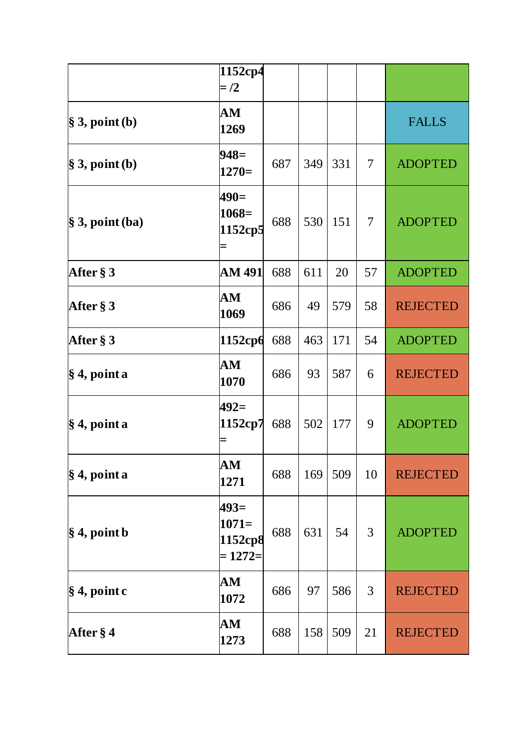|                             | 1152cp4<br>$=$ /2                          |     |     |     |    |                 |
|-----------------------------|--------------------------------------------|-----|-----|-----|----|-----------------|
| $\S$ 3, point (b)           | AM<br>1269                                 |     |     |     |    | <b>FALLS</b>    |
| $\$\,3,$ point (b)          | $948=$<br>$1270=$                          | 687 | 349 | 331 | 7  | <b>ADOPTED</b>  |
| $\frac{1}{2}$ 3, point (ba) | $490=$<br>$1068=$<br>1152cp5               | 688 | 530 | 151 | 7  | <b>ADOPTED</b>  |
| After § 3                   | AM 491                                     | 688 | 611 | 20  | 57 | <b>ADOPTED</b>  |
| After $\S 3$                | ${\bf AM}$<br>1069                         | 686 | 49  | 579 | 58 | <b>REJECTED</b> |
| After § 3                   | 1152cp6                                    | 688 | 463 | 171 | 54 | <b>ADOPTED</b>  |
| $\frac{1}{2}$ 4, point a    | ${\bf AM}$<br>1070                         | 686 | 93  | 587 | 6  | <b>REJECTED</b> |
| $\frac{1}{3}$ 4, point a    | 492=<br>1152cp7                            | 688 | 502 | 177 | 9  | <b>ADOPTED</b>  |
| $\frac{1}{2}$ 4, point a    | AM<br>1271                                 | 688 | 169 | 509 | 10 | <b>REJECTED</b> |
| $\frac{1}{2}$ 4, point b    | $493=$<br>$1071=$<br>1152cp8<br>$= 1272 =$ | 688 | 631 | 54  | 3  | <b>ADOPTED</b>  |
| $\S 4$ , point c            | AM<br>1072                                 | 686 | 97  | 586 | 3  | <b>REJECTED</b> |
| After § 4                   | AM<br>1273                                 | 688 | 158 | 509 | 21 | <b>REJECTED</b> |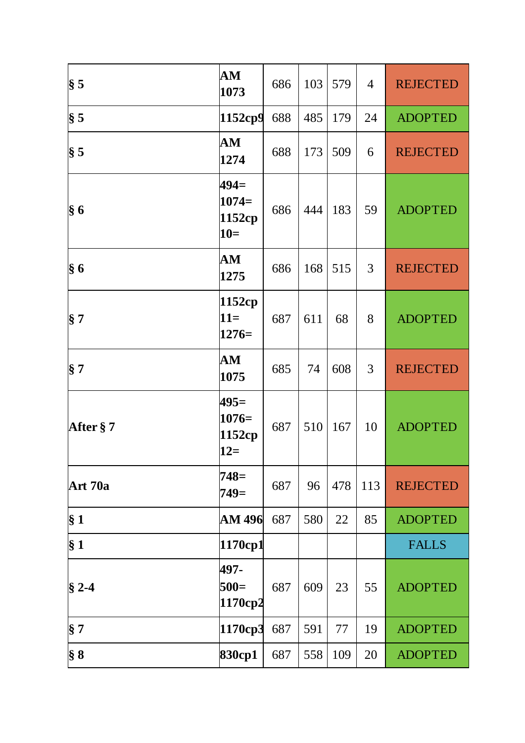| $\$ {5}        | AM<br>1073                           | 686 | 103 | 579 | 4   | <b>REJECTED</b> |
|----------------|--------------------------------------|-----|-----|-----|-----|-----------------|
| $\S 5$         | 1152cp9                              | 688 | 485 | 179 | 24  | <b>ADOPTED</b>  |
| $\S 5$         | AM<br>1274                           | 688 | 173 | 509 | 6   | <b>REJECTED</b> |
| $\S 6$         | $494=$<br>$1074=$<br>1152cp<br>$10=$ | 686 | 444 | 183 | 59  | <b>ADOPTED</b>  |
| $\S 6$         | AM<br>1275                           | 686 | 168 | 515 | 3   | <b>REJECTED</b> |
| $\S 7$         | 1152cp<br>$11=$<br>$1276=$           | 687 | 611 | 68  | 8   | <b>ADOPTED</b>  |
| § 7            | AM<br>1075                           | 685 | 74  | 608 | 3   | <b>REJECTED</b> |
| After §7       | $495=$<br>$1076=$<br>1152cp<br>$12=$ | 687 | 510 | 167 | 10  | <b>ADOPTED</b>  |
| Art 70a        | 748=<br>$749=$                       | 687 | 96  | 478 | 113 | <b>REJECTED</b> |
| § <sub>1</sub> | AM 496                               | 687 | 580 | 22  | 85  | <b>ADOPTED</b>  |
| § <sub>1</sub> | 1170cp1                              |     |     |     |     | <b>FALLS</b>    |
| $§$ 2-4        | 497-<br>$500=$<br>1170cp2            | 687 | 609 | 23  | 55  | <b>ADOPTED</b>  |
| $\S 7$         | 1170cp3                              | 687 | 591 | 77  | 19  | <b>ADOPTED</b>  |
| $\S 8$         | 830cp1                               | 687 | 558 | 109 | 20  | <b>ADOPTED</b>  |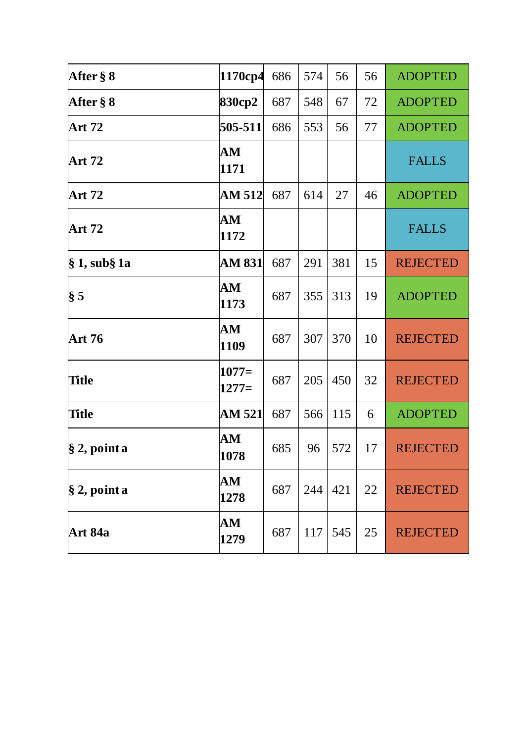| After § 8       | 1170cp4                        | 686 | 574 | 56  | 56 | <b>ADOPTED</b>  |
|-----------------|--------------------------------|-----|-----|-----|----|-----------------|
| After § 8       | 830cp2                         | 687 | 548 | 67  | 72 | <b>ADOPTED</b>  |
| <b>Art 72</b>   | 505-511                        | 686 | 553 | 56  | 77 | <b>ADOPTED</b>  |
| <b>Art 72</b>   | AM<br>1171                     |     |     |     |    | <b>FALLS</b>    |
| <b>Art 72</b>   | AM 512                         | 687 | 614 | 27  | 46 | <b>ADOPTED</b>  |
| Art 72          | ${\bf AM}$<br>1172             |     |     |     |    | <b>FALLS</b>    |
| § 1, sub§ 1a    | AM 831                         | 687 | 291 | 381 | 15 | <b>REJECTED</b> |
| $\S 5$          | $\mathbf{A}\mathbf{M}$<br>1173 | 687 | 355 | 313 | 19 | <b>ADOPTED</b>  |
| Art 76          | AM<br>1109                     | 687 | 307 | 370 | 10 | <b>REJECTED</b> |
| <b>Title</b>    | $1077=$<br>$1277=$             | 687 | 205 | 450 | 32 | <b>REJECTED</b> |
| <b>Title</b>    | AM 521                         | 687 | 566 | 115 | 6  | <b>ADOPTED</b>  |
| $\S$ 2, point a | ${\bf AM}$<br>1078             | 685 | 96  | 572 | 17 | <b>REJECTED</b> |
| $\S$ 2, point a | ${\bf AM}$<br>1278             | 687 | 244 | 421 | 22 | <b>REJECTED</b> |
| Art 84a         | AM<br>1279                     | 687 | 117 | 545 | 25 | <b>REJECTED</b> |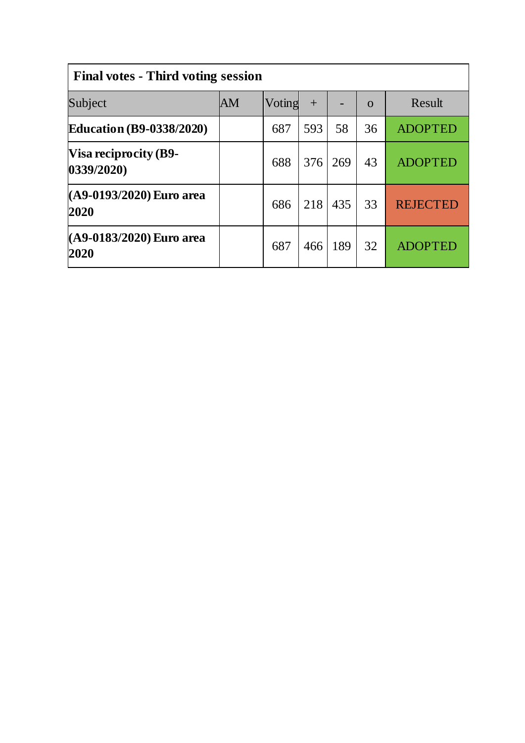| <b>Final votes - Third voting session</b>  |    |        |     |     |          |                 |  |  |
|--------------------------------------------|----|--------|-----|-----|----------|-----------------|--|--|
| Subject                                    | AM | Voting | $+$ |     | $\Omega$ | Result          |  |  |
| <b>Education (B9-0338/2020)</b>            |    | 687    | 593 | 58  | 36       | <b>ADOPTED</b>  |  |  |
| <b>Visa reciprocity (B9-</b><br>0339/2020) |    | 688    | 376 | 269 | 43       | <b>ADOPTED</b>  |  |  |
| (A9-0193/2020) Euro area<br>2020           |    | 686    | 218 | 435 | 33       | <b>REJECTED</b> |  |  |
| (A9-0183/2020) Euro area<br>2020           |    | 687    | 466 | 189 | 32       | <b>ADOPTED</b>  |  |  |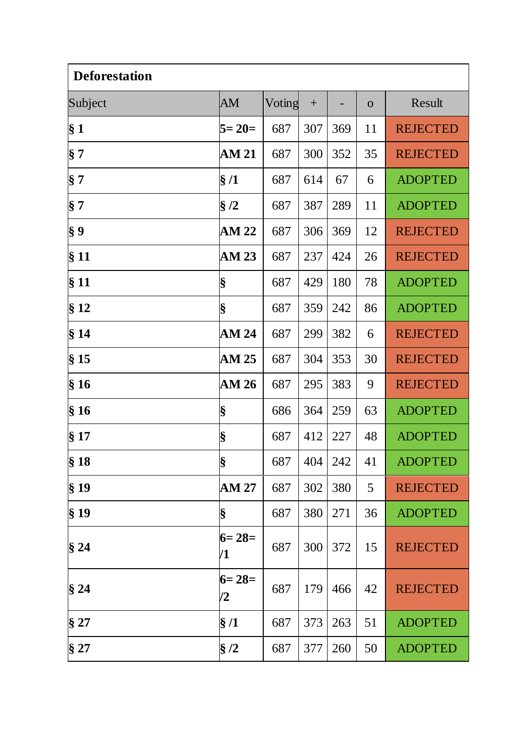| <b>Deforestation</b> |               |        |     |     |             |                 |  |  |
|----------------------|---------------|--------|-----|-----|-------------|-----------------|--|--|
| Subject              | AM            | Voting | $+$ |     | $\mathbf O$ | Result          |  |  |
| § 1                  | $5 = 20 =$    | 687    | 307 | 369 | 11          | <b>REJECTED</b> |  |  |
| $\S 7$               | AM 21         | 687    | 300 | 352 | 35          | <b>REJECTED</b> |  |  |
| $\S 7$               | §/1           | 687    | 614 | 67  | 6           | <b>ADOPTED</b>  |  |  |
| § 7                  | $\S/2$        | 687    | 387 | 289 | 11          | <b>ADOPTED</b>  |  |  |
| $\S 9$               | AM 22         | 687    | 306 | 369 | 12          | <b>REJECTED</b> |  |  |
| § 11                 | <b>AM 23</b>  | 687    | 237 | 424 | 26          | <b>REJECTED</b> |  |  |
| § 11                 | §             | 687    | 429 | 180 | 78          | <b>ADOPTED</b>  |  |  |
| §12                  | §             | 687    | 359 | 242 | 86          | <b>ADOPTED</b>  |  |  |
| §14                  | AM 24         | 687    | 299 | 382 | 6           | <b>REJECTED</b> |  |  |
| $§$ 15               | <b>AM 25</b>  | 687    | 304 | 353 | 30          | <b>REJECTED</b> |  |  |
| §16                  | AM 26         | 687    | 295 | 383 | 9           | <b>REJECTED</b> |  |  |
| §16                  | §             | 686    | 364 | 259 | 63          | <b>ADOPTED</b>  |  |  |
| § 17                 | §             | 687    | 412 | 227 | 48          | <b>ADOPTED</b>  |  |  |
| \$18                 | S             | 687    | 404 | 242 | 41          | <b>ADOPTED</b>  |  |  |
| $§$ 19               | <b>AM 27</b>  | 687    | 302 | 380 | 5           | <b>REJECTED</b> |  |  |
| $§$ 19               | §             | 687    | 380 | 271 | 36          | <b>ADOPTED</b>  |  |  |
| §24                  | $6=28=$<br>/1 | 687    | 300 | 372 | 15          | <b>REJECTED</b> |  |  |
| §24                  | $6=28=$<br>/2 | 687    | 179 | 466 | 42          | <b>REJECTED</b> |  |  |
| § 27                 | $\S/1$        | 687    | 373 | 263 | 51          | <b>ADOPTED</b>  |  |  |
| § 27                 | $\S/2$        | 687    | 377 | 260 | 50          | <b>ADOPTED</b>  |  |  |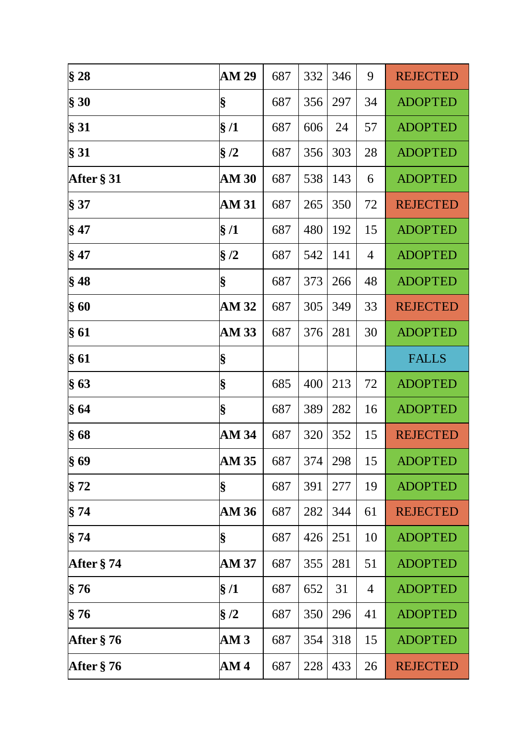| § 28          | <b>AM 29</b> | 687 | 332 | 346 | 9  | <b>REJECTED</b> |
|---------------|--------------|-----|-----|-----|----|-----------------|
| § 30          | §            | 687 | 356 | 297 | 34 | <b>ADOPTED</b>  |
| § 31          | §/1          | 687 | 606 | 24  | 57 | <b>ADOPTED</b>  |
| § 31          | $\S/2$       | 687 | 356 | 303 | 28 | <b>ADOPTED</b>  |
| After § 31    | <b>AM 30</b> | 687 | 538 | 143 | 6  | <b>ADOPTED</b>  |
| § 37          | <b>AM 31</b> | 687 | 265 | 350 | 72 | <b>REJECTED</b> |
| $§$ 47        | $\S/1$       | 687 | 480 | 192 | 15 | <b>ADOPTED</b>  |
| $§$ 47        | §/2          | 687 | 542 | 141 | 4  | <b>ADOPTED</b>  |
| $§$ 48        | §            | 687 | 373 | 266 | 48 | <b>ADOPTED</b>  |
| §60           | AM 32        | 687 | 305 | 349 | 33 | <b>REJECTED</b> |
| §61           | AM 33        | 687 | 376 | 281 | 30 | <b>ADOPTED</b>  |
| §61           | §            |     |     |     |    | <b>FALLS</b>    |
| §63           | §            | 685 | 400 | 213 | 72 | <b>ADOPTED</b>  |
| §64           | §            | 687 | 389 | 282 | 16 | <b>ADOPTED</b>  |
| §68           | AM 34        | 687 | 320 | 352 | 15 | <b>REJECTED</b> |
| §69           | <b>AM 35</b> | 687 | 374 | 298 | 15 | <b>ADOPTED</b>  |
| § 72          | §            | 687 | 391 | 277 | 19 | <b>ADOPTED</b>  |
| §74           | AM 36        | 687 | 282 | 344 | 61 | <b>REJECTED</b> |
| §74           | §            | 687 | 426 | 251 | 10 | <b>ADOPTED</b>  |
| After $\S 74$ | AM 37        | 687 | 355 | 281 | 51 | <b>ADOPTED</b>  |
| § 76          | $\S/1$       | 687 | 652 | 31  | 4  | <b>ADOPTED</b>  |
| §76           | $\S/2$       | 687 | 350 | 296 | 41 | <b>ADOPTED</b>  |
| After $\S 76$ | AM 3         | 687 | 354 | 318 | 15 | <b>ADOPTED</b>  |
| After $\S 76$ | AM4          | 687 | 228 | 433 | 26 | <b>REJECTED</b> |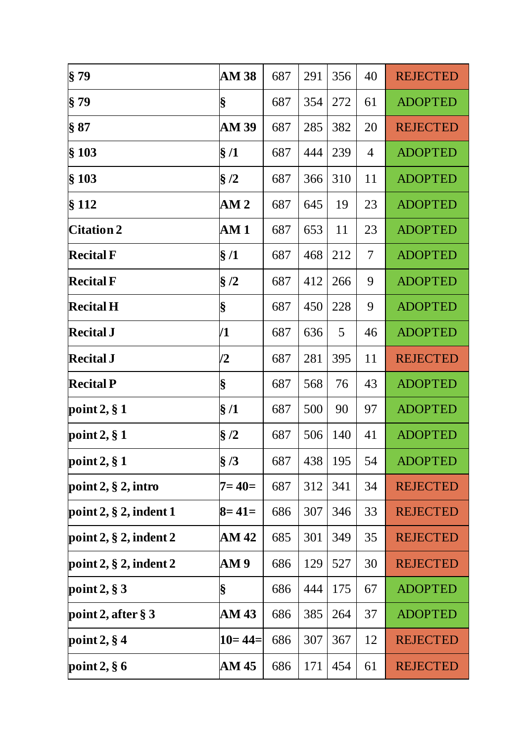| § 79                        | <b>AM 38</b>    | 687 | 291 | 356       | 40             | <b>REJECTED</b> |
|-----------------------------|-----------------|-----|-----|-----------|----------------|-----------------|
| § 79                        | §               | 687 | 354 | 272       | 61             | <b>ADOPTED</b>  |
| \$87                        | AM 39           | 687 | 285 | 382       | 20             | <b>REJECTED</b> |
| $§$ 103                     | $\S/1$          | 687 | 444 | 239       | $\overline{4}$ | <b>ADOPTED</b>  |
| $§$ 103                     | §/2             | 687 | 366 | 310       | 11             | <b>ADOPTED</b>  |
| § 112                       | AM <sub>2</sub> | 687 | 645 | 19        | 23             | <b>ADOPTED</b>  |
| <b>Citation 2</b>           | AM1             | 687 | 653 | 11        | 23             | <b>ADOPTED</b>  |
| <b>Recital F</b>            | §/1             | 687 | 468 | 212       | 7              | <b>ADOPTED</b>  |
| <b>Recital F</b>            | §/2             | 687 | 412 | 266       | 9              | <b>ADOPTED</b>  |
| <b>Recital H</b>            | §               | 687 | 450 | 228       | 9              | <b>ADOPTED</b>  |
| <b>Recital J</b>            | /1              | 687 | 636 | 5         | 46             | <b>ADOPTED</b>  |
| <b>Recital J</b>            | /2              | 687 | 281 | 395       | 11             | <b>REJECTED</b> |
| <b>Recital P</b>            | §               | 687 | 568 | 76        | 43             | <b>ADOPTED</b>  |
| point $2, § 1$              | $\S/1$          | 687 | 500 | 90        | 97             | <b>ADOPTED</b>  |
| point $2, § 1$              | $\S/2$          | 687 | 506 | 140       | 41             | <b>ADOPTED</b>  |
| point $2, § 1$              | $§$ /3          | 687 |     | 438   195 | 54             | <b>ADOPTED</b>  |
| point $2, § 2$ , intro      | $7 = 40 =$      | 687 | 312 | 341       | 34             | <b>REJECTED</b> |
| point $2, § 2$ , indent 1   | $8 = 41 =$      | 686 | 307 | 346       | 33             | <b>REJECTED</b> |
| point $2, § 2$ , indent $2$ | AM 42           | 685 | 301 | 349       | 35             | <b>REJECTED</b> |
| point $2, § 2$ , indent $2$ | AM 9            | 686 | 129 | 527       | 30             | <b>REJECTED</b> |
| point $2, § 3$              | §               | 686 | 444 | 175       | 67             | <b>ADOPTED</b>  |
| point 2, after $\S 3$       | AM 43           | 686 | 385 | 264       | 37             | <b>ADOPTED</b>  |
| point $2, § 4$              | $10 = 44 =$     | 686 | 307 | 367       | 12             | <b>REJECTED</b> |
| point $2, § 6$              | AM 45           | 686 | 171 | 454       | 61             | <b>REJECTED</b> |